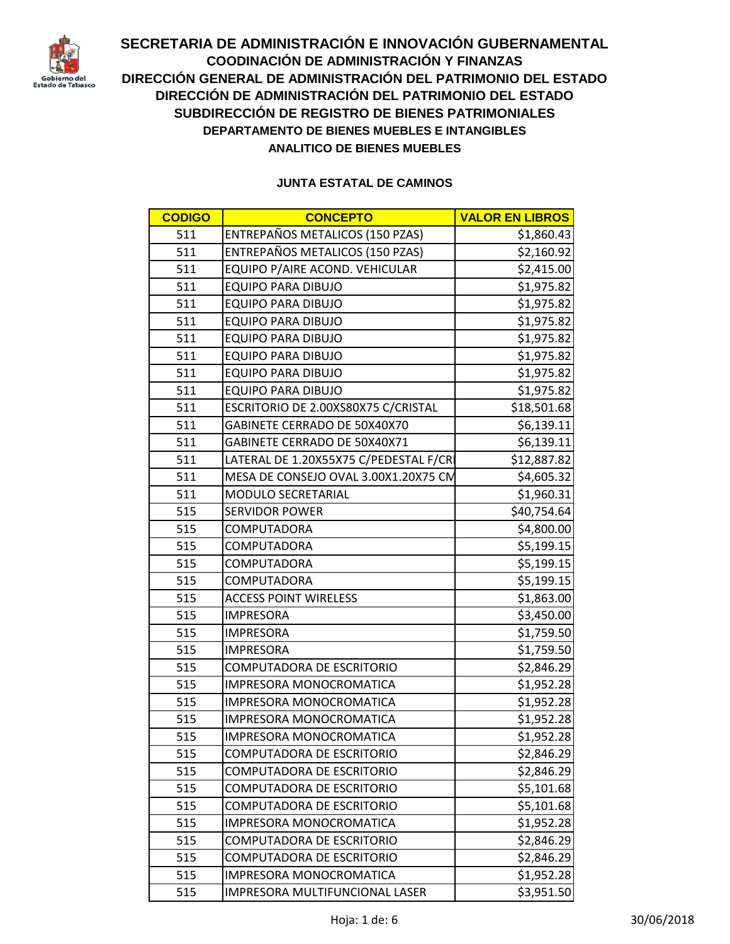

| <b>CODIGO</b> | <b>CONCEPTO</b>                        | <b>VALOR EN LIBROS</b> |
|---------------|----------------------------------------|------------------------|
| 511           | ENTREPAÑOS METALICOS (150 PZAS)        | \$1,860.43             |
| 511           | ENTREPAÑOS METALICOS (150 PZAS)        | \$2,160.92             |
| 511           | EQUIPO P/AIRE ACOND. VEHICULAR         | \$2,415.00             |
| 511           | <b>EQUIPO PARA DIBUJO</b>              | \$1,975.82             |
| 511           | <b>EQUIPO PARA DIBUJO</b>              | \$1,975.82             |
| 511           | <b>EQUIPO PARA DIBUJO</b>              | \$1,975.82             |
| 511           | <b>EQUIPO PARA DIBUJO</b>              | \$1,975.82             |
| 511           | <b>EQUIPO PARA DIBUJO</b>              | \$1,975.82             |
| 511           | <b>EQUIPO PARA DIBUJO</b>              | \$1,975.82             |
| 511           | <b>EQUIPO PARA DIBUJO</b>              | \$1,975.82             |
| 511           | ESCRITORIO DE 2.00XS80X75 C/CRISTAL    | \$18,501.68            |
| 511           | GABINETE CERRADO DE 50X40X70           | \$6,139.11             |
| 511           | GABINETE CERRADO DE 50X40X71           | \$6,139.11             |
| 511           | LATERAL DE 1.20X55X75 C/PEDESTAL F/CRI | \$12,887.82            |
| 511           | MESA DE CONSEJO OVAL 3.00X1.20X75 CM   | \$4,605.32             |
| 511           | MODULO SECRETARIAL                     | \$1,960.31             |
| 515           | <b>SERVIDOR POWER</b>                  | \$40,754.64            |
| 515           | <b>COMPUTADORA</b>                     | \$4,800.00             |
| 515           | <b>COMPUTADORA</b>                     | \$5,199.15             |
| 515           | COMPUTADORA                            | \$5,199.15             |
| 515           | <b>COMPUTADORA</b>                     | \$5,199.15             |
| 515           | <b>ACCESS POINT WIRELESS</b>           | \$1,863.00             |
| 515           | <b>IMPRESORA</b>                       | \$3,450.00             |
| 515           | <b>IMPRESORA</b>                       | \$1,759.50             |
| 515           | <b>IMPRESORA</b>                       | \$1,759.50             |
| 515           | COMPUTADORA DE ESCRITORIO              | \$2,846.29             |
| 515           | IMPRESORA MONOCROMATICA                | \$1,952.28             |
| 515           | <b>IMPRESORA MONOCROMATICA</b>         | \$1,952.28             |
| 515           | IMPRESORA MONOCROMATICA                | \$1,952.28             |
| 515           | IMPRESORA MONOCROMATICA                | \$1,952.28             |
| 515           | <b>COMPUTADORA DE ESCRITORIO</b>       | \$2,846.29             |
| 515           | <b>COMPUTADORA DE ESCRITORIO</b>       | \$2,846.29             |
| 515           | <b>COMPUTADORA DE ESCRITORIO</b>       | \$5,101.68             |
| 515           | <b>COMPUTADORA DE ESCRITORIO</b>       | \$5,101.68             |
| 515           | IMPRESORA MONOCROMATICA                | \$1,952.28             |
| 515           | COMPUTADORA DE ESCRITORIO              | \$2,846.29             |
| 515           | <b>COMPUTADORA DE ESCRITORIO</b>       | \$2,846.29             |
| 515           | <b>IMPRESORA MONOCROMATICA</b>         | \$1,952.28             |
| 515           | IMPRESORA MULTIFUNCIONAL LASER         | \$3,951.50             |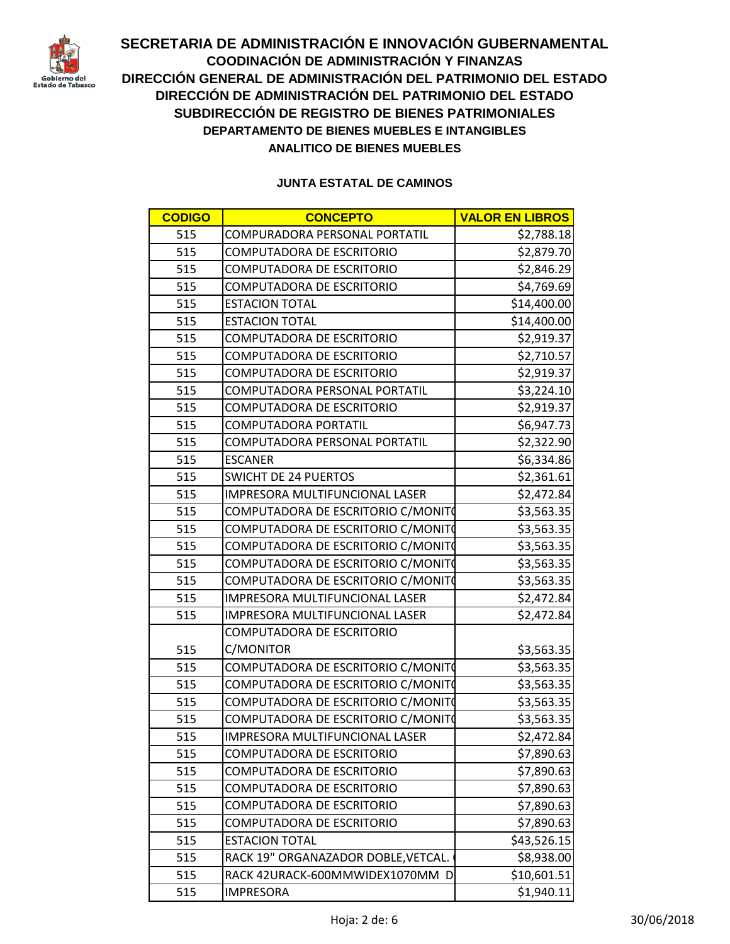

| <b>CODIGO</b> | <b>CONCEPTO</b>                     | <b>VALOR EN LIBROS</b> |
|---------------|-------------------------------------|------------------------|
| 515           | COMPURADORA PERSONAL PORTATIL       | \$2,788.18             |
| 515           | COMPUTADORA DE ESCRITORIO           | \$2,879.70             |
| 515           | COMPUTADORA DE ESCRITORIO           | \$2,846.29             |
| 515           | <b>COMPUTADORA DE ESCRITORIO</b>    | \$4,769.69             |
| 515           | <b>ESTACION TOTAL</b>               | \$14,400.00            |
| 515           | <b>ESTACION TOTAL</b>               | \$14,400.00            |
| 515           | COMPUTADORA DE ESCRITORIO           | \$2,919.37             |
| 515           | <b>COMPUTADORA DE ESCRITORIO</b>    | \$2,710.57             |
| 515           | <b>COMPUTADORA DE ESCRITORIO</b>    | \$2,919.37             |
| 515           | COMPUTADORA PERSONAL PORTATIL       | \$3,224.10             |
| 515           | <b>COMPUTADORA DE ESCRITORIO</b>    | \$2,919.37             |
| 515           | COMPUTADORA PORTATIL                | \$6,947.73             |
| 515           | COMPUTADORA PERSONAL PORTATIL       | \$2,322.90             |
| 515           | <b>ESCANER</b>                      | \$6,334.86             |
| 515           | <b>SWICHT DE 24 PUERTOS</b>         | \$2,361.61             |
| 515           | IMPRESORA MULTIFUNCIONAL LASER      | \$2,472.84             |
| 515           | COMPUTADORA DE ESCRITORIO C/MONITO  | \$3,563.35             |
| 515           | COMPUTADORA DE ESCRITORIO C/MONITO  | \$3,563.35             |
| 515           | COMPUTADORA DE ESCRITORIO C/MONITO  | \$3,563.35             |
| 515           | COMPUTADORA DE ESCRITORIO C/MONITO  | \$3,563.35             |
| 515           | COMPUTADORA DE ESCRITORIO C/MONITO  | \$3,563.35             |
| 515           | IMPRESORA MULTIFUNCIONAL LASER      | \$2,472.84             |
| 515           | IMPRESORA MULTIFUNCIONAL LASER      | \$2,472.84             |
|               | <b>COMPUTADORA DE ESCRITORIO</b>    |                        |
| 515           | C/MONITOR                           | \$3,563.35             |
| 515           | COMPUTADORA DE ESCRITORIO C/MONITO  | \$3,563.35             |
| 515           | COMPUTADORA DE ESCRITORIO C/MONITO  | \$3,563.35             |
| 515           | COMPUTADORA DE ESCRITORIO C/MONITO  | \$3,563.35             |
| 515           | COMPUTADORA DE ESCRITORIO C/MONITO  | \$3,563.35             |
| 515           | IMPRESORA MULTIFUNCIONAL LASER      | \$2,472.84             |
| 515           | <b>COMPUTADORA DE ESCRITORIO</b>    | \$7,890.63             |
| 515           | <b>COMPUTADORA DE ESCRITORIO</b>    | \$7,890.63             |
| 515           | <b>COMPUTADORA DE ESCRITORIO</b>    | \$7,890.63             |
| 515           | COMPUTADORA DE ESCRITORIO           | \$7,890.63             |
| 515           | <b>COMPUTADORA DE ESCRITORIO</b>    | \$7,890.63             |
| 515           | <b>ESTACION TOTAL</b>               | \$43,526.15            |
| 515           | RACK 19" ORGANAZADOR DOBLE, VETCAL. | \$8,938.00             |
| 515           | RACK 42URACK-600MMWIDEX1070MM D     | \$10,601.51            |
| 515           | <b>IMPRESORA</b>                    | \$1,940.11             |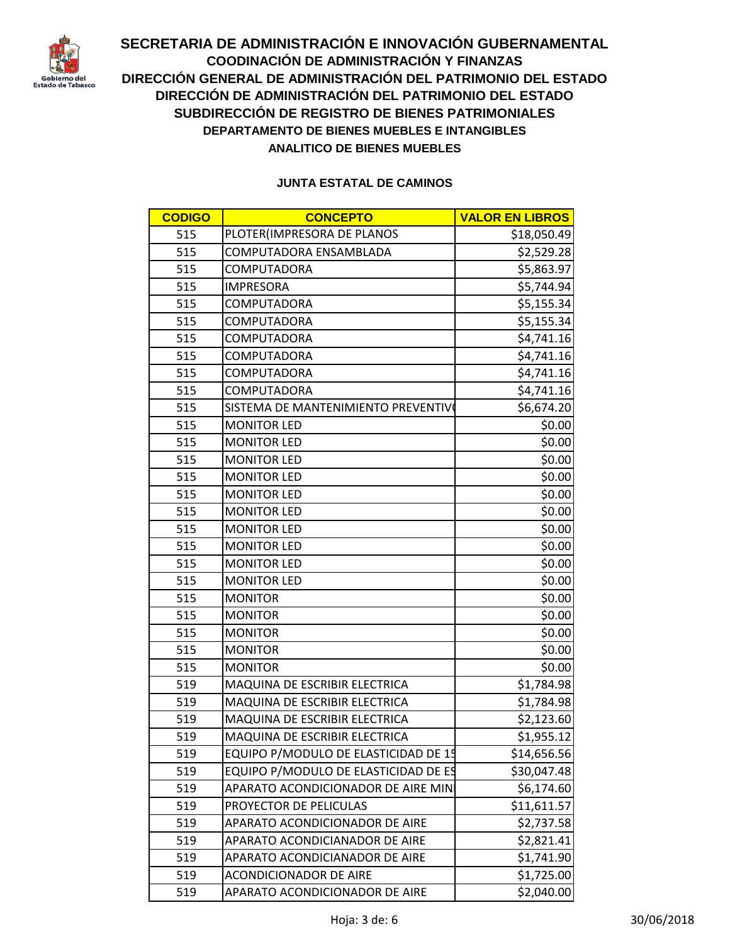

| <b>CODIGO</b> | <b>CONCEPTO</b>                      | <b>VALOR EN LIBROS</b> |
|---------------|--------------------------------------|------------------------|
| 515           | PLOTER(IMPRESORA DE PLANOS           | \$18,050.49            |
| 515           | COMPUTADORA ENSAMBLADA               | \$2,529.28             |
| 515           | <b>COMPUTADORA</b>                   | \$5,863.97             |
| 515           | <b>IMPRESORA</b>                     | \$5,744.94             |
| 515           | <b>COMPUTADORA</b>                   | \$5,155.34             |
| 515           | <b>COMPUTADORA</b>                   | \$5,155.34             |
| 515           | <b>COMPUTADORA</b>                   | \$4,741.16             |
| 515           | <b>COMPUTADORA</b>                   | \$4,741.16             |
| 515           | <b>COMPUTADORA</b>                   | \$4,741.16             |
| 515           | <b>COMPUTADORA</b>                   | \$4,741.16             |
| 515           | SISTEMA DE MANTENIMIENTO PREVENTIVO  | \$6,674.20             |
| 515           | <b>MONITOR LED</b>                   | \$0.00                 |
| 515           | <b>MONITOR LED</b>                   | \$0.00                 |
| 515           | <b>MONITOR LED</b>                   | \$0.00                 |
| 515           | <b>MONITOR LED</b>                   | \$0.00                 |
| 515           | <b>MONITOR LED</b>                   | \$0.00                 |
| 515           | <b>MONITOR LED</b>                   | \$0.00                 |
| 515           | <b>MONITOR LED</b>                   | \$0.00                 |
| 515           | <b>MONITOR LED</b>                   | \$0.00                 |
| 515           | <b>MONITOR LED</b>                   | \$0.00                 |
| 515           | <b>MONITOR LED</b>                   | \$0.00                 |
| 515           | <b>MONITOR</b>                       | \$0.00                 |
| 515           | <b>MONITOR</b>                       | \$0.00                 |
| 515           | <b>MONITOR</b>                       | \$0.00                 |
| 515           | <b>MONITOR</b>                       | \$0.00                 |
| 515           | <b>MONITOR</b>                       | \$0.00                 |
| 519           | MAQUINA DE ESCRIBIR ELECTRICA        | \$1,784.98             |
| 519           | MAQUINA DE ESCRIBIR ELECTRICA        | \$1,784.98             |
| 519           | MAQUINA DE ESCRIBIR ELECTRICA        | \$2,123.60             |
| 519           | MAQUINA DE ESCRIBIR ELECTRICA        | \$1,955.12             |
| 519           | EQUIPO P/MODULO DE ELASTICIDAD DE 15 | \$14,656.56            |
| 519           | EQUIPO P/MODULO DE ELASTICIDAD DE ES | \$30,047.48            |
| 519           | APARATO ACONDICIONADOR DE AIRE MIN   | \$6,174.60             |
| 519           | PROYECTOR DE PELICULAS               | \$11,611.57            |
| 519           | APARATO ACONDICIONADOR DE AIRE       | \$2,737.58             |
| 519           | APARATO ACONDICIANADOR DE AIRE       | \$2,821.41             |
| 519           | APARATO ACONDICIANADOR DE AIRE       | \$1,741.90             |
| 519           | <b>ACONDICIONADOR DE AIRE</b>        | \$1,725.00             |
| 519           | APARATO ACONDICIONADOR DE AIRE       | \$2,040.00             |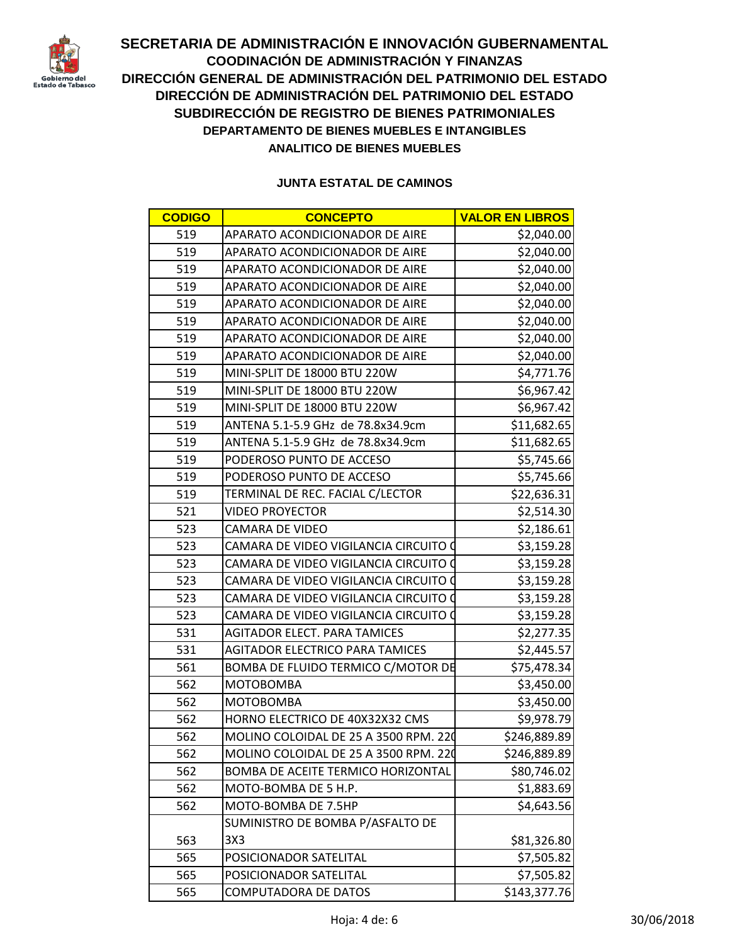

| <b>CODIGO</b> | <b>CONCEPTO</b>                           | <b>VALOR EN LIBROS</b> |
|---------------|-------------------------------------------|------------------------|
| 519           | APARATO ACONDICIONADOR DE AIRE            | \$2,040.00             |
| 519           | APARATO ACONDICIONADOR DE AIRE            | \$2,040.00             |
| 519           | APARATO ACONDICIONADOR DE AIRE            | \$2,040.00             |
| 519           | APARATO ACONDICIONADOR DE AIRE            | \$2,040.00             |
| 519           | APARATO ACONDICIONADOR DE AIRE            | \$2,040.00             |
| 519           | APARATO ACONDICIONADOR DE AIRE            | \$2,040.00             |
| 519           | APARATO ACONDICIONADOR DE AIRE            | \$2,040.00             |
| 519           | APARATO ACONDICIONADOR DE AIRE            | \$2,040.00             |
| 519           | MINI-SPLIT DE 18000 BTU 220W              | \$4,771.76             |
| 519           | MINI-SPLIT DE 18000 BTU 220W              | \$6,967.42             |
| 519           | MINI-SPLIT DE 18000 BTU 220W              | \$6,967.42             |
| 519           | ANTENA 5.1-5.9 GHz de 78.8x34.9cm         | \$11,682.65            |
| 519           | ANTENA 5.1-5.9 GHz de 78.8x34.9cm         | \$11,682.65            |
| 519           | PODEROSO PUNTO DE ACCESO                  | \$5,745.66             |
| 519           | PODEROSO PUNTO DE ACCESO                  | \$5,745.66             |
| 519           | TERMINAL DE REC. FACIAL C/LECTOR          | \$22,636.31            |
| 521           | <b>VIDEO PROYECTOR</b>                    | \$2,514.30             |
| 523           | <b>CAMARA DE VIDEO</b>                    | \$2,186.61             |
| 523           | CAMARA DE VIDEO VIGILANCIA CIRCUITO O     | \$3,159.28             |
| 523           | CAMARA DE VIDEO VIGILANCIA CIRCUITO O     | \$3,159.28             |
| 523           | CAMARA DE VIDEO VIGILANCIA CIRCUITO O     | \$3,159.28             |
| 523           | CAMARA DE VIDEO VIGILANCIA CIRCUITO O     | \$3,159.28             |
| 523           | CAMARA DE VIDEO VIGILANCIA CIRCUITO (     | \$3,159.28             |
| 531           | <b>AGITADOR ELECT. PARA TAMICES</b>       | \$2,277.35             |
| 531           | <b>AGITADOR ELECTRICO PARA TAMICES</b>    | \$2,445.57             |
| 561           | BOMBA DE FLUIDO TERMICO C/MOTOR DE        | \$75,478.34            |
| 562           | <b>MOTOBOMBA</b>                          | \$3,450.00             |
| 562           | МОТОВОМВА                                 | \$3,450.00             |
| 562           | HORNO ELECTRICO DE 40X32X32 CMS           | \$9,978.79             |
| 562           | MOLINO COLOIDAL DE 25 A 3500 RPM. 220     | \$246,889.89           |
| 562           | MOLINO COLOIDAL DE 25 A 3500 RPM. 220     | \$246,889.89           |
| 562           | <b>BOMBA DE ACEITE TERMICO HORIZONTAL</b> | \$80,746.02            |
| 562           | MOTO-BOMBA DE 5 H.P.                      | \$1,883.69             |
| 562           | MOTO-BOMBA DE 7.5HP                       | \$4,643.56             |
|               | SUMINISTRO DE BOMBA P/ASFALTO DE          |                        |
| 563           | 3X3                                       | \$81,326.80            |
| 565           | POSICIONADOR SATELITAL                    | \$7,505.82             |
| 565           | POSICIONADOR SATELITAL                    | \$7,505.82             |
| 565           | <b>COMPUTADORA DE DATOS</b>               | \$143,377.76           |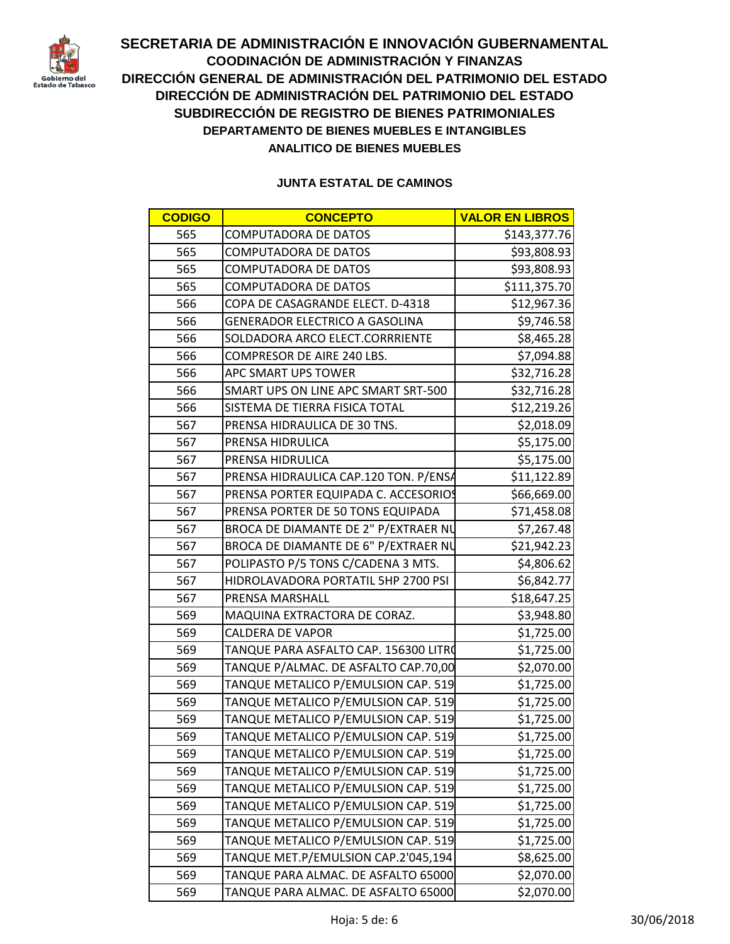

| <b>CODIGO</b> | <b>CONCEPTO</b>                       | <b>VALOR EN LIBROS</b> |
|---------------|---------------------------------------|------------------------|
| 565           | <b>COMPUTADORA DE DATOS</b>           | \$143,377.76           |
| 565           | <b>COMPUTADORA DE DATOS</b>           | \$93,808.93            |
| 565           | <b>COMPUTADORA DE DATOS</b>           | \$93,808.93            |
| 565           | <b>COMPUTADORA DE DATOS</b>           | \$111,375.70           |
| 566           | COPA DE CASAGRANDE ELECT. D-4318      | \$12,967.36            |
| 566           | <b>GENERADOR ELECTRICO A GASOLINA</b> | \$9,746.58             |
| 566           | SOLDADORA ARCO ELECT.CORRRIENTE       | \$8,465.28             |
| 566           | COMPRESOR DE AIRE 240 LBS.            | \$7,094.88             |
| 566           | APC SMART UPS TOWER                   | \$32,716.28            |
| 566           | SMART UPS ON LINE APC SMART SRT-500   | \$32,716.28            |
| 566           | SISTEMA DE TIERRA FISICA TOTAL        | \$12,219.26            |
| 567           | PRENSA HIDRAULICA DE 30 TNS.          | \$2,018.09             |
| 567           | PRENSA HIDRULICA                      | \$5,175.00             |
| 567           | PRENSA HIDRULICA                      | \$5,175.00             |
| 567           | PRENSA HIDRAULICA CAP.120 TON. P/ENSA | \$11,122.89            |
| 567           | PRENSA PORTER EQUIPADA C. ACCESORIOS  | \$66,669.00            |
| 567           | PRENSA PORTER DE 50 TONS EQUIPADA     | \$71,458.08            |
| 567           | BROCA DE DIAMANTE DE 2" P/EXTRAER NU  | \$7,267.48             |
| 567           | BROCA DE DIAMANTE DE 6" P/EXTRAER NU  | \$21,942.23            |
| 567           | POLIPASTO P/5 TONS C/CADENA 3 MTS.    | \$4,806.62             |
| 567           | HIDROLAVADORA PORTATIL 5HP 2700 PSI   | \$6,842.77             |
| 567           | PRENSA MARSHALL                       | \$18,647.25            |
| 569           | MAQUINA EXTRACTORA DE CORAZ.          | \$3,948.80             |
| 569           | <b>CALDERA DE VAPOR</b>               | \$1,725.00             |
| 569           | TANQUE PARA ASFALTO CAP. 156300 LITRO | \$1,725.00             |
| 569           | TANQUE P/ALMAC. DE ASFALTO CAP.70,00  | \$2,070.00             |
| 569           | TANQUE METALICO P/EMULSION CAP. 519   | \$1,725.00             |
| 569           | TANQUE METALICO P/EMULSION CAP. 519   | \$1,725.00             |
| 569           | TANQUE METALICO P/EMULSION CAP. 519   | \$1,725.00             |
| 569           | TANQUE METALICO P/EMULSION CAP. 519   | \$1,725.00             |
| 569           | TANQUE METALICO P/EMULSION CAP. 519   | \$1,725.00             |
| 569           | TANQUE METALICO P/EMULSION CAP. 519   | \$1,725.00             |
| 569           | TANQUE METALICO P/EMULSION CAP. 519   | \$1,725.00             |
| 569           | TANQUE METALICO P/EMULSION CAP. 519   | \$1,725.00             |
| 569           | TANQUE METALICO P/EMULSION CAP. 519   | \$1,725.00             |
| 569           | TANQUE METALICO P/EMULSION CAP. 519   | \$1,725.00             |
| 569           | TANQUE MET.P/EMULSION CAP.2'045,194   | \$8,625.00             |
| 569           | TANQUE PARA ALMAC. DE ASFALTO 65000   | \$2,070.00             |
| 569           | TANQUE PARA ALMAC. DE ASFALTO 65000   | \$2,070.00             |